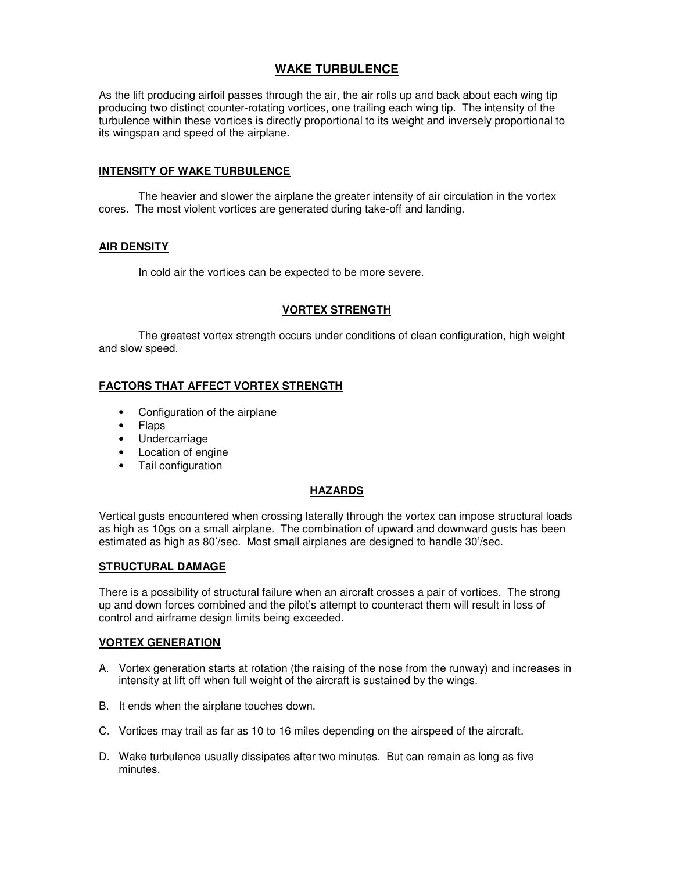# **WAKE TURBULENCE**

As the lift producing airfoil passes through the air, the air rolls up and back about each wing tip producing two distinct counter-rotating vortices, one trailing each wing tip. The intensity of the turbulence within these vortices is directly proportional to its weight and inversely proportional to its wingspan and speed of the airplane.

### **INTENSITY OF WAKE TURBULENCE**

 The heavier and slower the airplane the greater intensity of air circulation in the vortex cores. The most violent vortices are generated during take-off and landing.

## **AIR DENSITY**

In cold air the vortices can be expected to be more severe.

## **VORTEX STRENGTH**

 The greatest vortex strength occurs under conditions of clean configuration, high weight and slow speed.

# **FACTORS THAT AFFECT VORTEX STRENGTH**

- Configuration of the airplane
- Flaps
- Undercarriage
- Location of engine
- Tail configuration

### **HAZARDS**

Vertical gusts encountered when crossing laterally through the vortex can impose structural loads as high as 10gs on a small airplane. The combination of upward and downward gusts has been estimated as high as 80'/sec. Most small airplanes are designed to handle 30'/sec.

### **STRUCTURAL DAMAGE**

There is a possibility of structural failure when an aircraft crosses a pair of vortices. The strong up and down forces combined and the pilot's attempt to counteract them will result in loss of control and airframe design limits being exceeded.

### **VORTEX GENERATION**

- A. Vortex generation starts at rotation (the raising of the nose from the runway) and increases in intensity at lift off when full weight of the aircraft is sustained by the wings.
- B. It ends when the airplane touches down.
- C. Vortices may trail as far as 10 to 16 miles depending on the airspeed of the aircraft.
- D. Wake turbulence usually dissipates after two minutes. But can remain as long as five minutes.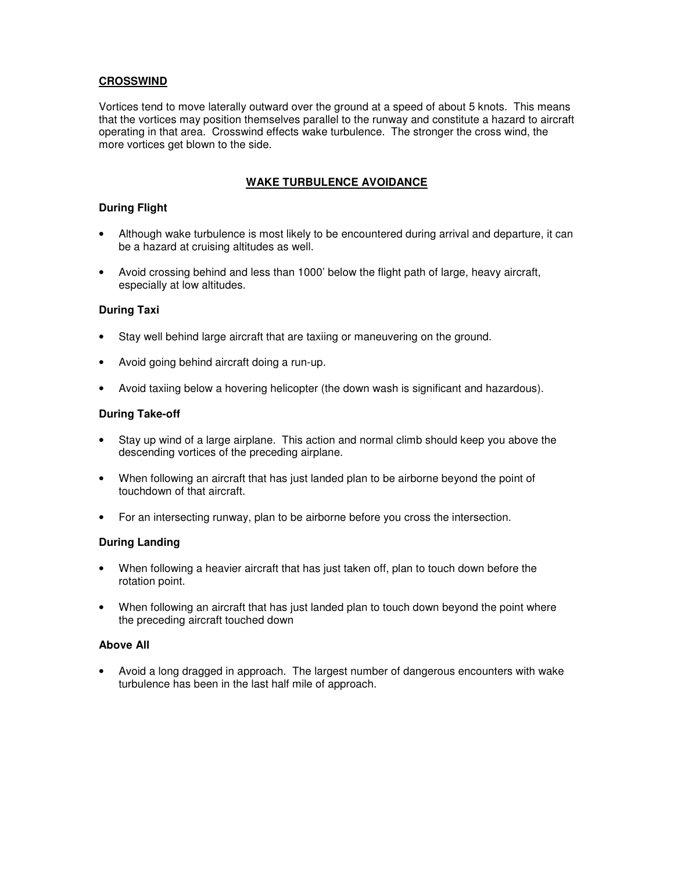# **CROSSWIND**

Vortices tend to move laterally outward over the ground at a speed of about 5 knots. This means that the vortices may position themselves parallel to the runway and constitute a hazard to aircraft operating in that area. Crosswind effects wake turbulence. The stronger the cross wind, the more vortices get blown to the side.

# **WAKE TURBULENCE AVOIDANCE**

# **During Flight**

- Although wake turbulence is most likely to be encountered during arrival and departure, it can be a hazard at cruising altitudes as well.
- Avoid crossing behind and less than 1000' below the flight path of large, heavy aircraft, especially at low altitudes.

## **During Taxi**

- Stay well behind large aircraft that are taxiing or maneuvering on the ground.
- Avoid going behind aircraft doing a run-up.
- Avoid taxiing below a hovering helicopter (the down wash is significant and hazardous).

## **During Take-off**

- Stay up wind of a large airplane. This action and normal climb should keep you above the descending vortices of the preceding airplane.
- When following an aircraft that has just landed plan to be airborne beyond the point of touchdown of that aircraft.
- For an intersecting runway, plan to be airborne before you cross the intersection.

# **During Landing**

- When following a heavier aircraft that has just taken off, plan to touch down before the rotation point.
- When following an aircraft that has just landed plan to touch down beyond the point where the preceding aircraft touched down

### **Above All**

• Avoid a long dragged in approach. The largest number of dangerous encounters with wake turbulence has been in the last half mile of approach.